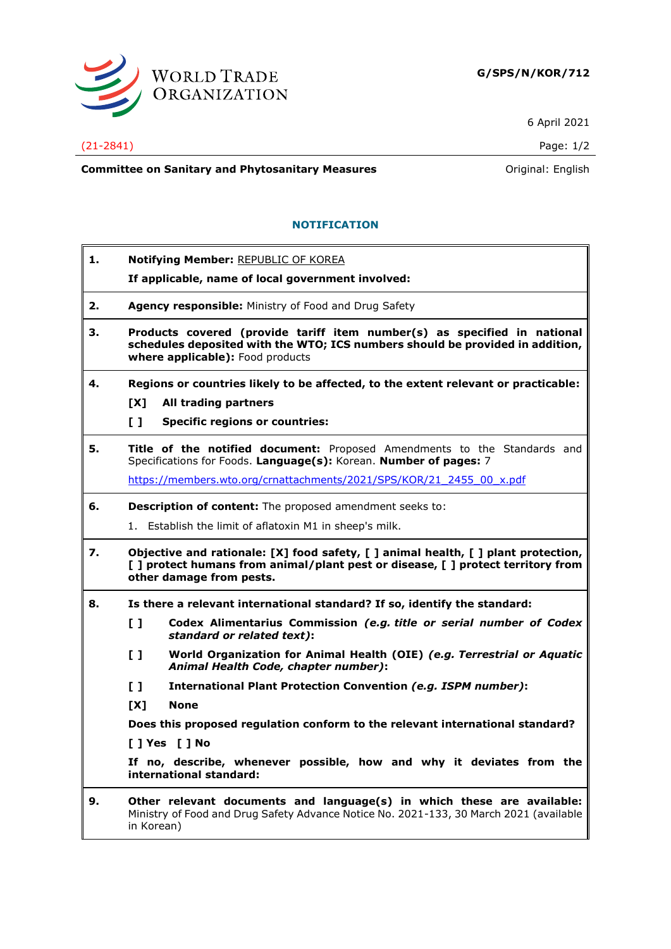

6 April 2021

## (21-2841) Page: 1/2

**Committee on Sanitary and Phytosanitary Measures Committee on Sanitary and Phytosanitary Measures Committee on Sanitary and Phytosanitary Measures** 

## **NOTIFICATION**

| 1. |                                                                                                                                                                                                    | Notifying Member: REPUBLIC OF KOREA<br>If applicable, name of local government involved:                                                      |  |
|----|----------------------------------------------------------------------------------------------------------------------------------------------------------------------------------------------------|-----------------------------------------------------------------------------------------------------------------------------------------------|--|
| 2. | <b>Agency responsible:</b> Ministry of Food and Drug Safety                                                                                                                                        |                                                                                                                                               |  |
| з. | Products covered (provide tariff item number(s) as specified in national<br>schedules deposited with the WTO; ICS numbers should be provided in addition,<br>where applicable): Food products      |                                                                                                                                               |  |
| 4. | Regions or countries likely to be affected, to the extent relevant or practicable:                                                                                                                 |                                                                                                                                               |  |
|    | [X]                                                                                                                                                                                                | All trading partners                                                                                                                          |  |
|    | $\mathbf{L}$                                                                                                                                                                                       | <b>Specific regions or countries:</b>                                                                                                         |  |
| 5. |                                                                                                                                                                                                    | Title of the notified document: Proposed Amendments to the Standards and<br>Specifications for Foods. Language(s): Korean. Number of pages: 7 |  |
|    |                                                                                                                                                                                                    | https://members.wto.org/crnattachments/2021/SPS/KOR/21 2455 00 x.pdf                                                                          |  |
| 6. | Description of content: The proposed amendment seeks to:                                                                                                                                           |                                                                                                                                               |  |
|    | 1.                                                                                                                                                                                                 | Establish the limit of aflatoxin M1 in sheep's milk.                                                                                          |  |
| 7. | Objective and rationale: [X] food safety, [ ] animal health, [ ] plant protection,<br>[ ] protect humans from animal/plant pest or disease, [ ] protect territory from<br>other damage from pests. |                                                                                                                                               |  |
| 8. |                                                                                                                                                                                                    | Is there a relevant international standard? If so, identify the standard:                                                                     |  |
|    | $\mathbf{L}$                                                                                                                                                                                       | Codex Alimentarius Commission (e.g. title or serial number of Codex<br>standard or related text):                                             |  |
|    | $\mathbf{L}$                                                                                                                                                                                       | World Organization for Animal Health (OIE) (e.g. Terrestrial or Aquatic<br>Animal Health Code, chapter number):                               |  |
|    | $\mathbf{L}$                                                                                                                                                                                       | International Plant Protection Convention (e.g. ISPM number):                                                                                 |  |
|    | [X]                                                                                                                                                                                                | <b>None</b>                                                                                                                                   |  |
|    |                                                                                                                                                                                                    | Does this proposed regulation conform to the relevant international standard?                                                                 |  |
|    |                                                                                                                                                                                                    | [ ] Yes [ ] No                                                                                                                                |  |
|    |                                                                                                                                                                                                    | If no, describe, whenever possible, how and why it deviates from the<br>international standard:                                               |  |
| 9. | Other relevant documents and language(s) in which these are available:<br>Ministry of Food and Drug Safety Advance Notice No. 2021-133, 30 March 2021 (available<br>in Korean)                     |                                                                                                                                               |  |